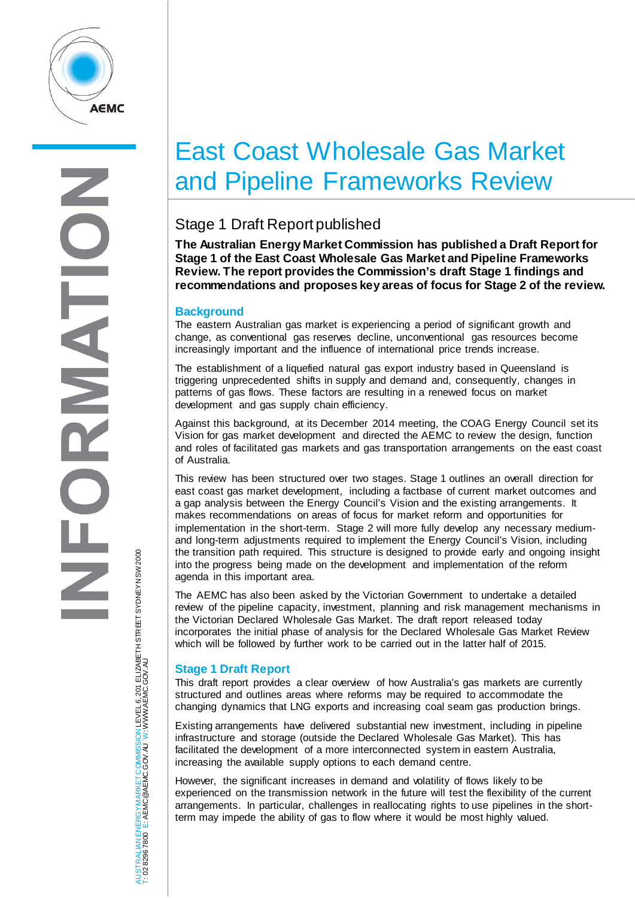

# East Coast Wholesale Gas Market and Pipeline Frameworks Review

# Stage 1 Draft Report published

**The Australian Energy Market Commission has published a Draft Report for Stage 1 of the East Coast Wholesale Gas Market and Pipeline Frameworks Review. The report provides the Commission's draft Stage 1 findings and recommendations and proposes key areas of focus for Stage 2 of the review.**

#### **Background**

The eastern Australian gas market is experiencing a period of significant growth and change, as conventional gas reserves decline, unconventional gas resources become increasingly important and the influence of international price trends increase.

The establishment of a liquefied natural gas export industry based in Queensland is triggering unprecedented shifts in supply and demand and, consequently, changes in patterns of gas flows. These factors are resulting in a renewed focus on market development and gas supply chain efficiency.

Against this background, at its December 2014 meeting, the COAG Energy Council set its Vision for gas market development and directed the AEMC to review the design, function and roles of facilitated gas markets and gas transportation arrangements on the east coast of Australia.

This review has been structured over two stages. Stage 1 outlines an overall direction for east coast gas market development, including a factbase of current market outcomes and a gap analysis between the Energy Council's Vision and the existing arrangements. It makes recommendations on areas of focus for market reform and opportunities for implementation in the short-term. Stage 2 will more fully develop any necessary mediumand long-term adjustments required to implement the Energy Council's Vision, including the transition path required. This structure is designed to provide early and ongoing insight into the progress being made on the development and implementation of the reform agenda in this important area.

The AEMC has also been asked by the Victorian Government to undertake a detailed review of the pipeline capacity, investment, planning and risk management mechanisms in the Victorian Declared Wholesale Gas Market. The draft report released today incorporates the initial phase of analysis for the Declared Wholesale Gas Market Review which will be followed by further work to be carried out in the latter half of 2015.

## **Stage 1 Draft Report**

This draft report provides a clear overview of how Australia's gas markets are currently structured and outlines areas where reforms may be required to accommodate the changing dynamics that LNG exports and increasing coal seam gas production brings.

Existing arrangements have delivered substantial new investment, including in pipeline infrastructure and storage (outside the Declared Wholesale Gas Market). This has facilitated the development of a more interconnected system in eastern Australia, increasing the available supply options to each demand centre.

However, the significant increases in demand and volatility of flows likely to be experienced on the transmission network in the future will test the flexibility of the current arrangements. In particular, challenges in reallocating rights to use pipelines in the shortterm may impede the ability of gas to flow where it would be most highly valued.

JSTRALIAN ENERGY MARKET COMMISSION LEVEL 6, 201 ELIZABETH STREET SYDNEY NSW 2000<br>02 8296 7800 E: AEMC @AEMC.GOV.AU W: WWW.AEMC.GOV.AU AUSTRALIAN ENERGY MARKET COMMISSION LEVEL 6, 201 ELIZABETH STREET SYDNEY NSW 2000 W: WWW.AEMC.GOV.AUT: 02 8296 7800 E: AEMC@AEMC.GOV.AU ₹